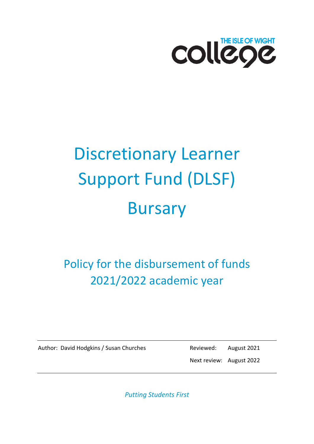

# Discretionary Learner Support Fund (DLSF) Bursary

Policy for the disbursement of funds 2021/2022 academic year

Author: David Hodgkins / Susan Churches Reviewed: August 2021

Next review: August 2022

*Putting Students First*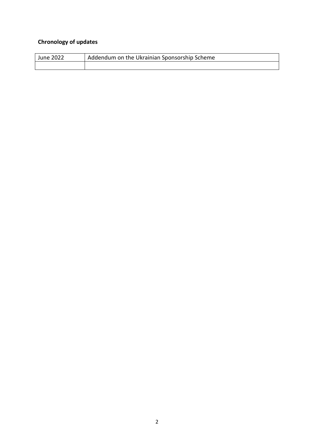#### **Chronology of updates**

| <b>June 2022</b> | Addendum on the Ukrainian Sponsorship Scheme |
|------------------|----------------------------------------------|
|                  |                                              |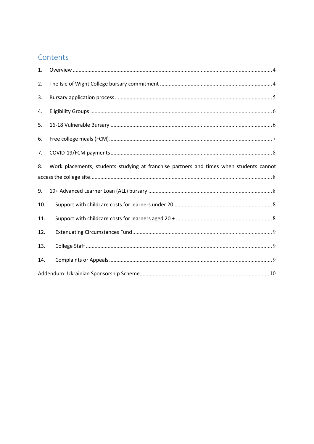# Contents

| 1.  |                                                                                         |
|-----|-----------------------------------------------------------------------------------------|
| 2.  |                                                                                         |
| 3.  |                                                                                         |
| 4.  |                                                                                         |
| 5.  |                                                                                         |
| 6.  |                                                                                         |
| 7.  |                                                                                         |
| 8.  | Work placements, students studying at franchise partners and times when students cannot |
|     |                                                                                         |
| 9.  |                                                                                         |
| 10. |                                                                                         |
| 11. |                                                                                         |
| 12. |                                                                                         |
| 13. |                                                                                         |
| 14. |                                                                                         |
|     |                                                                                         |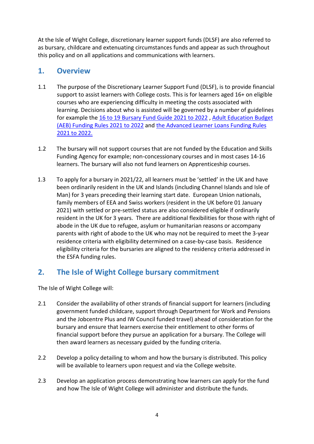At the Isle of Wight College, discretionary learner support funds (DLSF) are also referred to as bursary, childcare and extenuating circumstances funds and appear as such throughout this policy and on all applications and communications with learners.

#### <span id="page-3-0"></span>**1. Overview**

- 1.1 The purpose of the Discretionary Learner Support Fund (DLSF), is to provide financial support to assist learners with College costs. This is for learners aged 16+ on eligible courses who are experiencing difficulty in meeting the costs associated with learning. Decisions about who is assisted will be governed by a number of guidelines for example the [16 to 19 Bursary Fund Guide 2021 to 2022](https://www.gov.uk/guidance/16-to-19-bursary-fund-guide-2021-to-2022-academic-year) , [Adult Education Budget](https://www.gov.uk/guidance/adult-education-budget-aeb-funding-rules-2021-to-2022)  [\(AEB\) Funding Rules 2021 to 2022](https://www.gov.uk/guidance/adult-education-budget-aeb-funding-rules-2021-to-2022) and [the Advanced Learner Loans Funding Rules](https://www.gov.uk/government/publications/advanced-learner-loans-funding-rules-2021-to-2022)  [2021 to 2022.](https://www.gov.uk/government/publications/advanced-learner-loans-funding-rules-2021-to-2022)
- 1.2 The bursary will not support courses that are not funded by the Education and Skills Funding Agency for example; non-concessionary courses and in most cases 14-16 learners. The bursary will also not fund learners on Apprenticeship courses.
- 1.3 To apply for a bursary in 2021/22, all learners must be 'settled' in the UK and have been ordinarily resident in the UK and Islands (including Channel Islands and Isle of Man) for 3 years preceding their learning start date. European Union nationals, family members of EEA and Swiss workers (resident in the UK before 01 January 2021) with settled or pre-settled status are also considered eligible if ordinarily resident in the UK for 3 years. There are additional flexibilities for those with right of abode in the UK due to refugee, asylum or humanitarian reasons or accompany parents with right of abode to the UK who may not be required to meet the 3-year residence criteria with eligibility determined on a case-by-case basis. Residence eligibility criteria for the bursaries are aligned to the residency criteria addressed in the ESFA funding rules.

## <span id="page-3-1"></span>**2. The Isle of Wight College bursary commitment**

The Isle of Wight College will:

- 2.1 Consider the availability of other strands of financial support for learners (including government funded childcare, support through Department for Work and Pensions and the Jobcentre Plus and IW Council funded travel) ahead of consideration for the bursary and ensure that learners exercise their entitlement to other forms of financial support before they pursue an application for a bursary. The College will then award learners as necessary guided by the funding criteria.
- 2.2 Develop a policy detailing to whom and how the bursary is distributed. This policy will be available to learners upon request and via the College website.
- 2.3 Develop an application process demonstrating how learners can apply for the fund and how The Isle of Wight College will administer and distribute the funds.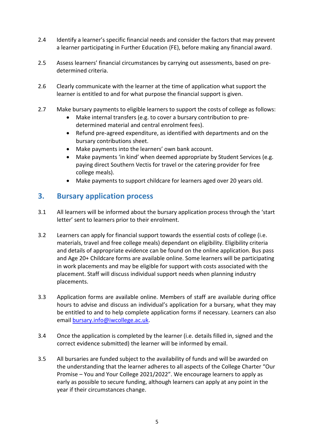- 2.4 Identify a learner's specific financial needs and consider the factors that may prevent a learner participating in Further Education (FE), before making any financial award.
- 2.5 Assess learners' financial circumstances by carrying out assessments, based on predetermined criteria.
- 2.6 Clearly communicate with the learner at the time of application what support the learner is entitled to and for what purpose the financial support is given.
- 2.7 Make bursary payments to eligible learners to support the costs of college as follows:
	- Make internal transfers (e.g. to cover a bursary contribution to predetermined material and central enrolment fees).
	- Refund pre-agreed expenditure, as identified with departments and on the bursary contributions sheet.
	- Make payments into the learners' own bank account.
	- Make payments 'in kind' when deemed appropriate by Student Services (e.g. paying direct Southern Vectis for travel or the catering provider for free college meals).
	- Make payments to support childcare for learners aged over 20 years old.

#### <span id="page-4-0"></span>**3. Bursary application process**

- 3.1 All learners will be informed about the bursary application process through the 'start letter' sent to learners prior to their enrolment.
- 3.2 Learners can apply for financial support towards the essential costs of college (i.e. materials, travel and free college meals) dependant on eligibility. Eligibility criteria and details of appropriate evidence can be found on the online application. Bus pass and Age 20+ Childcare forms are available online. Some learners will be participating in work placements and may be eligible for support with costs associated with the placement. Staff will discuss individual support needs when planning industry placements.
- 3.3 Application forms are available online. Members of staff are available during office hours to advise and discuss an individual's application for a bursary, what they may be entitled to and to help complete application forms if necessary. Learners can also email [bursary.info@iwcollege.ac.uk.](mailto:StudentServices@iwcollege.ac.uk)
- 3.4 Once the application is completed by the learner (i.e. details filled in, signed and the correct evidence submitted) the learner will be informed by email.
- 3.5 All bursaries are funded subject to the availability of funds and will be awarded on the understanding that the learner adheres to all aspects of the College Charter "Our Promise – You and Your College 2021/2022". We encourage learners to apply as early as possible to secure funding, although learners can apply at any point in the year if their circumstances change.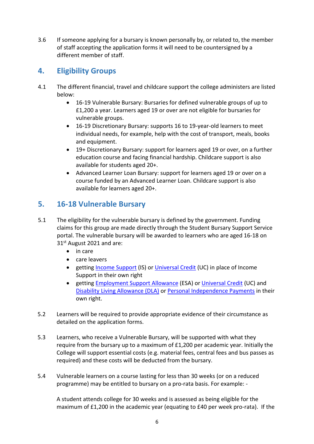3.6 If someone applying for a bursary is known personally by, or related to, the member of staff accepting the application forms it will need to be countersigned by a different member of staff.

## <span id="page-5-0"></span>**4. Eligibility Groups**

- 4.1 The different financial, travel and childcare support the college administers are listed below:
	- 16-19 Vulnerable Bursary: Bursaries for defined vulnerable groups of up to £1,200 a year. Learners aged 19 or over are not eligible for bursaries for vulnerable groups.
	- 16-19 Discretionary Bursary: supports 16 to 19-year-old learners to meet individual needs, for example, help with the cost of transport, meals, books and equipment.
	- 19+ Discretionary Bursary: support for learners aged 19 or over, on a further education course and facing financial hardship. Childcare support is also available for students aged 20+.
	- Advanced Learner Loan Bursary: support for learners aged 19 or over on a course funded by an Advanced Learner Loan. Childcare support is also available for learners aged 20+.

# <span id="page-5-1"></span>**5. 16-18 Vulnerable Bursary**

- 5.1 The eligibility for the vulnerable bursary is defined by the government. Funding claims for this group are made directly through the Student Bursary Support Service portal. The vulnerable bursary will be awarded to learners who are aged 16-18 on 31st August 2021 and are:
	- in care
	- care leavers
	- getting **Income Support** (IS) or *Universal Credit* (UC) in place of Income Support in their own right
	- getting [Employment Support Allowance](https://www.gov.uk/employment-support-allowance) (ESA) or [Universal Credit](https://www.gov.uk/universal-credit) (UC) and [Disability Living Allowance \(DLA\)](https://www.gov.uk/dla-disability-living-allowance-benefit) o[r Personal Independence Payments](https://www.gov.uk/pip) in their own right.
- 5.2 Learners will be required to provide appropriate evidence of their circumstance as detailed on the application forms.
- 5.3 Learners, who receive a Vulnerable Bursary, will be supported with what they require from the bursary up to a maximum of £1,200 per academic year. Initially the College will support essential costs (e.g. material fees, central fees and bus passes as required) and these costs will be deducted from the bursary.
- 5.4 Vulnerable learners on a course lasting for less than 30 weeks (or on a reduced programme) may be entitled to bursary on a pro-rata basis. For example: -

A student attends college for 30 weeks and is assessed as being eligible for the maximum of £1,200 in the academic year (equating to £40 per week pro-rata). If the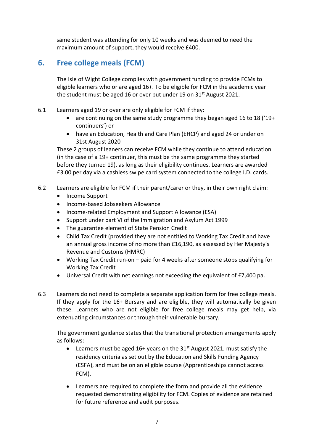same student was attending for only 10 weeks and was deemed to need the maximum amount of support, they would receive £400.

# <span id="page-6-0"></span>**6. Free college meals (FCM)**

The Isle of Wight College complies with government funding to provide FCMs to eligible learners who or are aged 16+. To be eligible for FCM in the academic year the student must be aged 16 or over but under 19 on  $31<sup>st</sup>$  August 2021.

- 6.1 Learners aged 19 or over are only eligible for FCM if they:
	- are continuing on the same study programme they began aged 16 to 18 ('19+ continuers') or
	- have an Education, Health and Care Plan (EHCP) and aged 24 or under on 31st August 2020

These 2 groups of leaners can receive FCM while they continue to attend education (in the case of a 19+ continuer, this must be the same programme they started before they turned 19), as long as their eligibility continues. Learners are awarded £3.00 per day via a cashless swipe card system connected to the college I.D. cards.

- 6.2 Learners are eligible for FCM if their parent/carer or they, in their own right claim:
	- Income Support
	- Income-based Jobseekers Allowance
	- Income-related Employment and Support Allowance (ESA)
	- Support under part VI of the Immigration and Asylum Act 1999
	- The guarantee element of State Pension Credit
	- Child Tax Credit (provided they are not entitled to Working Tax Credit and have an annual gross income of no more than £16,190, as assessed by Her Majesty's Revenue and Customs (HMRC)
	- Working Tax Credit run-on paid for 4 weeks after someone stops qualifying for Working Tax Credit
	- Universal Credit with net earnings not exceeding the equivalent of £7,400 pa.
- 6.3 Learners do not need to complete a separate application form for free college meals. If they apply for the 16+ Bursary and are eligible, they will automatically be given these. Learners who are not eligible for free college meals may get help, via extenuating circumstances or through their vulnerable bursary.

The government guidance states that the transitional protection arrangements apply as follows:

- Learners must be aged 16+ years on the  $31<sup>st</sup>$  August 2021, must satisfy the residency criteria as set out by the Education and Skills Funding Agency (ESFA), and must be on an eligible course (Apprenticeships cannot access FCM).
- Learners are required to complete the form and provide all the evidence requested demonstrating eligibility for FCM. Copies of evidence are retained for future reference and audit purposes.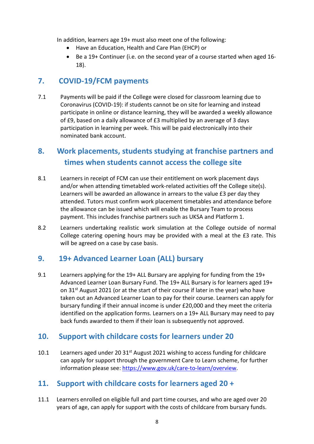In addition, learners age 19+ must also meet one of the following:

- Have an Education, Health and Care Plan (EHCP) or
- Be a 19+ Continuer (i.e. on the second year of a course started when aged 16- 18).

## <span id="page-7-0"></span>**7. COVID-19/FCM payments**

7.1 Payments will be paid if the College were closed for classroom learning due to Coronavirus (COVID-19): if students cannot be on site for learning and instead participate in online or distance learning, they will be awarded a weekly allowance of £9, based on a daily allowance of £3 multiplied by an average of 3 days participation in learning per week. This will be paid electronically into their nominated bank account.

# <span id="page-7-1"></span>**8. Work placements, students studying at franchise partners and times when students cannot access the college site**

- 8.1 Learners in receipt of FCM can use their entitlement on work placement days and/or when attending timetabled work-related activities off the College site(s). Learners will be awarded an allowance in arrears to the value £3 per day they attended. Tutors must confirm work placement timetables and attendance before the allowance can be issued which will enable the Bursary Team to process payment. This includes franchise partners such as UKSA and Platform 1.
- 8.2 Learners undertaking realistic work simulation at the College outside of normal College catering opening hours may be provided with a meal at the £3 rate. This will be agreed on a case by case basis.

#### <span id="page-7-2"></span>**9. 19+ Advanced Learner Loan (ALL) bursary**

9.1 Learners applying for the 19+ ALL Bursary are applying for funding from the 19+ Advanced Learner Loan Bursary Fund. The 19+ ALL Bursary is for learners aged 19+ on  $31^{st}$  August 2021 (or at the start of their course if later in the year) who have taken out an Advanced Learner Loan to pay for their course. Learners can apply for bursary funding if their annual income is under £20,000 and they meet the criteria identified on the application forms. Learners on a 19+ ALL Bursary may need to pay back funds awarded to them if their loan is subsequently not approved.

## <span id="page-7-3"></span>**10. Support with childcare costs for learners under 20**

10.1 Learners aged under 20  $31<sup>st</sup>$  August 2021 wishing to access funding for childcare can apply for support through the government Care to Learn scheme, for further information please see: [https://www.gov.uk/care-to-learn/overview.](https://www.gov.uk/care-to-learn/overview)

## <span id="page-7-4"></span>**11. Support with childcare costs for learners aged 20 +**

11.1 Learners enrolled on eligible full and part time courses, and who are aged over 20 years of age, can apply for support with the costs of childcare from bursary funds.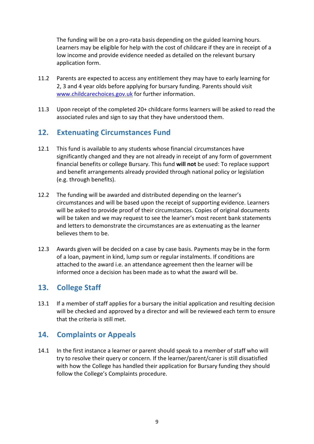The funding will be on a pro-rata basis depending on the guided learning hours. Learners may be eligible for help with the cost of childcare if they are in receipt of a low income and provide evidence needed as detailed on the relevant bursary application form.

- 11.2 Parents are expected to access any entitlement they may have to early learning for 2, 3 and 4 year olds before applying for bursary funding. Parents should visit [www.childcarechoices.gov.uk](http://www.childcarechoices.gov.uk/) for further information.
- 11.3 Upon receipt of the completed 20+ childcare forms learners will be asked to read the associated rules and sign to say that they have understood them.

#### <span id="page-8-0"></span>**12. Extenuating Circumstances Fund**

- 12.1 This fund is available to any students whose financial circumstances have significantly changed and they are not already in receipt of any form of government financial benefits or college Bursary. This fund **will not** be used: To replace support and benefit arrangements already provided through national policy or legislation (e.g. through benefits).
- 12.2 The funding will be awarded and distributed depending on the learner's circumstances and will be based upon the receipt of supporting evidence. Learners will be asked to provide proof of their circumstances. Copies of original documents will be taken and we may request to see the learner's most recent bank statements and letters to demonstrate the circumstances are as extenuating as the learner believes them to be.
- 12.3 Awards given will be decided on a case by case basis. Payments may be in the form of a loan, payment in kind, lump sum or regular instalments. If conditions are attached to the award i.e. an attendance agreement then the learner will be informed once a decision has been made as to what the award will be.

#### <span id="page-8-1"></span>**13. College Staff**

13.1 If a member of staff applies for a bursary the initial application and resulting decision will be checked and approved by a director and will be reviewed each term to ensure that the criteria is still met.

#### <span id="page-8-2"></span>**14. Complaints or Appeals**

14.1 In the first instance a learner or parent should speak to a member of staff who will try to resolve their query or concern. If the learner/parent/carer is still dissatisfied with how the College has handled their application for Bursary funding they should follow the College's Complaints procedure.